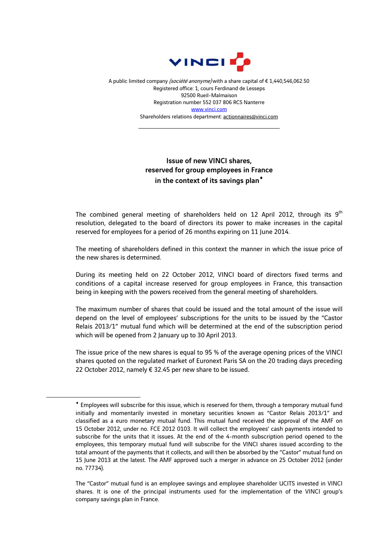

A public limited company (société anonyme) with a share capital of €1,440,546,062.50 Registered office: 1, cours Ferdinand de Lesseps 92500 Rueil-Malmaison Registration number 552 037 806 RCS Nanterre www.vinci.com Shareholders relations department: actionnaires@vinci.com

\_\_\_\_\_\_\_\_\_\_\_\_\_\_\_\_\_\_\_\_\_\_\_\_\_\_\_\_\_\_\_\_\_\_\_\_

## Issue of new VINCI shares, reserved for group employees in France in the context of its savings plan<sup>\*</sup>

The combined general meeting of shareholders held on 12 April 2012, through its  $9<sup>th</sup>$ resolution, delegated to the board of directors its power to make increases in the capital reserved for employees for a period of 26 months expiring on 11 June 2014.

The meeting of shareholders defined in this context the manner in which the issue price of the new shares is determined.

During its meeting held on 22 October 2012, VINCI board of directors fixed terms and conditions of a capital increase reserved for group employees in France, this transaction being in keeping with the powers received from the general meeting of shareholders.

The maximum number of shares that could be issued and the total amount of the issue will depend on the level of employees' subscriptions for the units to be issued by the "Castor Relais 2013/1" mutual fund which will be determined at the end of the subscription period which will be opened from 2 January up to 30 April 2013.

The issue price of the new shares is equal to 95 % of the average opening prices of the VINCI shares quoted on the regulated market of Euronext Paris SA on the 20 trading days preceding 22 October 2012, namely € 32.45 per new share to be issued.

1

Employees will subscribe for this issue, which is reserved for them, through a temporary mutual fund initially and momentarily invested in monetary securities known as "Castor Relais 2013/1" and classified as a euro monetary mutual fund. This mutual fund received the approval of the AMF on 15 October 2012, under no. FCE 2012 0103. It will collect the employees' cash payments intended to subscribe for the units that it issues. At the end of the 4-month subscription period opened to the employees, this temporary mutual fund will subscribe for the VINCI shares issued according to the total amount of the payments that it collects, and will then be absorbed by the "Castor" mutual fund on 15 June 2013 at the latest. The AMF approved such a merger in advance on 25 October 2012 (under no. 77734).

The "Castor" mutual fund is an employee savings and employee shareholder UCITS invested in VINCI shares. It is one of the principal instruments used for the implementation of the VINCI group's company savings plan in France.